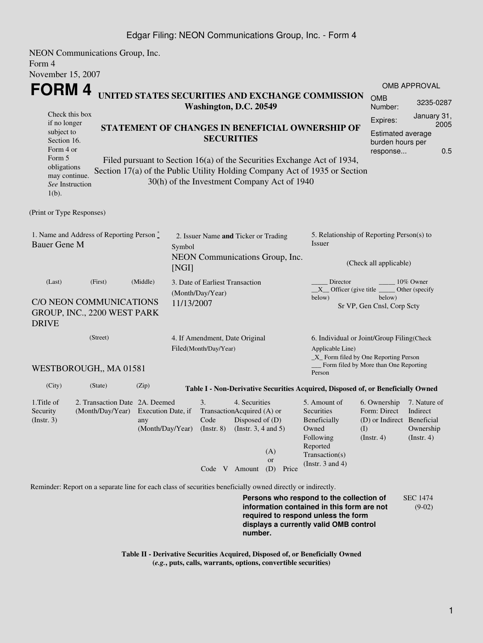### Edgar Filing: NEON Communications Group, Inc. - Form 4

NEON Communications Group, Inc. Form 4 November 15, 2007

| November 15, 2007                                                                                                                                                                                                                                                             |                                                                                                                                |                                               |                                                                                  |                                                              |                        |                                                                                                         |     |                                                                                |                                                           |             |
|-------------------------------------------------------------------------------------------------------------------------------------------------------------------------------------------------------------------------------------------------------------------------------|--------------------------------------------------------------------------------------------------------------------------------|-----------------------------------------------|----------------------------------------------------------------------------------|--------------------------------------------------------------|------------------------|---------------------------------------------------------------------------------------------------------|-----|--------------------------------------------------------------------------------|-----------------------------------------------------------|-------------|
| <b>FORM4</b>                                                                                                                                                                                                                                                                  |                                                                                                                                |                                               |                                                                                  |                                                              |                        |                                                                                                         |     | <b>OMB APPROVAL</b>                                                            |                                                           |             |
| UNITED STATES SECURITIES AND EXCHANGE COMMISSION<br>Washington, D.C. 20549                                                                                                                                                                                                    |                                                                                                                                |                                               |                                                                                  |                                                              |                        |                                                                                                         |     | <b>OMB</b><br>Number:                                                          | 3235-0287                                                 |             |
| Check this box                                                                                                                                                                                                                                                                |                                                                                                                                |                                               |                                                                                  |                                                              |                        |                                                                                                         |     | Expires:                                                                       | January 31,                                               |             |
|                                                                                                                                                                                                                                                                               | if no longer<br>STATEMENT OF CHANGES IN BENEFICIAL OWNERSHIP OF<br>subject to<br><b>SECURITIES</b><br>Section 16.<br>Form 4 or |                                               |                                                                                  |                                                              |                        |                                                                                                         |     | <b>Estimated average</b><br>burden hours per<br>response                       |                                                           | 2005<br>0.5 |
| Form 5<br>Filed pursuant to Section 16(a) of the Securities Exchange Act of 1934,<br>obligations<br>Section 17(a) of the Public Utility Holding Company Act of 1935 or Section<br>may continue.<br>30(h) of the Investment Company Act of 1940<br>See Instruction<br>$1(b)$ . |                                                                                                                                |                                               |                                                                                  |                                                              |                        |                                                                                                         |     |                                                                                |                                                           |             |
| (Print or Type Responses)                                                                                                                                                                                                                                                     |                                                                                                                                |                                               |                                                                                  |                                                              |                        |                                                                                                         |     |                                                                                |                                                           |             |
| 1. Name and Address of Reporting Person $\stackrel{*}{\mathbb{L}}$<br><b>Bauer Gene M</b>                                                                                                                                                                                     |                                                                                                                                |                                               | 2. Issuer Name and Ticker or Trading<br>Symbol                                   |                                                              |                        | 5. Relationship of Reporting Person(s) to<br><b>Issuer</b>                                              |     |                                                                                |                                                           |             |
| NEON Communications Group, Inc.<br>[NGI]                                                                                                                                                                                                                                      |                                                                                                                                |                                               |                                                                                  |                                                              | (Check all applicable) |                                                                                                         |     |                                                                                |                                                           |             |
| (Middle)<br>(Last)<br>(First)                                                                                                                                                                                                                                                 |                                                                                                                                |                                               | 3. Date of Earliest Transaction<br>(Month/Day/Year)                              |                                                              |                        | Director<br>10% Owner<br>$X$ Officer (give title<br>Other (specify                                      |     |                                                                                |                                                           |             |
| C/O NEON COMMUNICATIONS<br>11/13/2007<br>GROUP, INC., 2200 WEST PARK<br><b>DRIVE</b>                                                                                                                                                                                          |                                                                                                                                |                                               |                                                                                  |                                                              |                        | below)                                                                                                  |     | below)<br>Sr VP, Gen Cnsl, Corp Scty                                           |                                                           |             |
| (Street)                                                                                                                                                                                                                                                                      |                                                                                                                                |                                               | 4. If Amendment, Date Original<br>Filed(Month/Day/Year)                          |                                                              |                        | 6. Individual or Joint/Group Filing(Check<br>Applicable Line)<br>_X_ Form filed by One Reporting Person |     |                                                                                |                                                           |             |
| Form filed by More than One Reporting<br>WESTBOROUGH,, MA 01581<br>Person                                                                                                                                                                                                     |                                                                                                                                |                                               |                                                                                  |                                                              |                        |                                                                                                         |     |                                                                                |                                                           |             |
| (City)                                                                                                                                                                                                                                                                        | (State)                                                                                                                        | (Zip)                                         | Table I - Non-Derivative Securities Acquired, Disposed of, or Beneficially Owned |                                                              |                        |                                                                                                         |     |                                                                                |                                                           |             |
| 1. Title of<br>Security<br>(Insert. 3)                                                                                                                                                                                                                                        | 2. Transaction Date 2A. Deemed<br>(Month/Day/Year)                                                                             | Execution Date, if<br>any<br>(Month/Day/Year) | 3.<br>TransactionAcquired (A) or<br>Code<br>$($ Instr. 8 $)$                     | 4. Securities<br>Disposed of (D)<br>(Instr. $3, 4$ and $5$ ) |                        | 5. Amount of<br>Securities<br>Beneficially<br>Owned<br>Following<br>Reported                            | (I) | 6. Ownership<br>Form: Direct<br>(D) or Indirect Beneficial<br>$($ Instr. 4 $)$ | 7. Nature of<br>Indirect<br>Ownership<br>$($ Instr. 4 $)$ |             |
|                                                                                                                                                                                                                                                                               |                                                                                                                                |                                               | Code V Amount                                                                    | (A)<br><b>or</b><br>(D)                                      | Price                  | Transaction(s)<br>(Instr. $3$ and $4$ )                                                                 |     |                                                                                |                                                           |             |
|                                                                                                                                                                                                                                                                               | Reminder: Report on a separate line for each class of securities beneficially owned directly or indirectly.                    |                                               |                                                                                  |                                                              |                        |                                                                                                         |     |                                                                                |                                                           |             |
|                                                                                                                                                                                                                                                                               |                                                                                                                                |                                               |                                                                                  |                                                              |                        | Persons who respond to the collection of<br>information contained in this form are not                  |     |                                                                                | <b>SEC 1474</b><br>$(9-02)$                               |             |

**information contained in this form are not required to respond unless the form displays a currently valid OMB control number.**

**Table II - Derivative Securities Acquired, Disposed of, or Beneficially Owned (***e.g.***, puts, calls, warrants, options, convertible securities)**